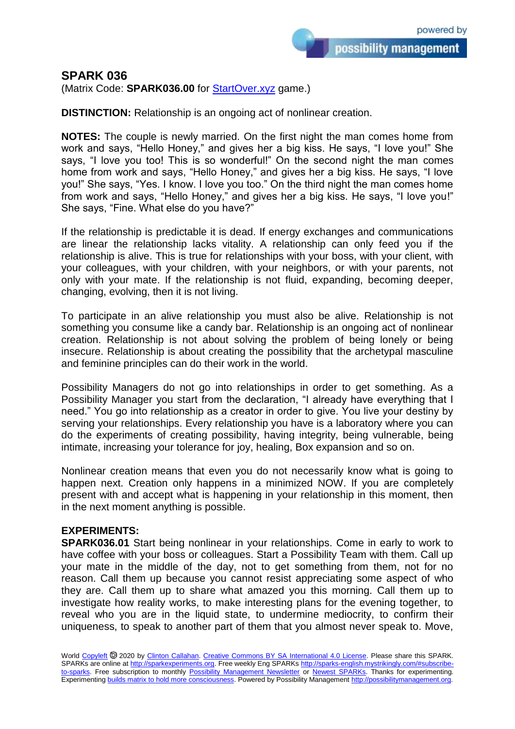## **SPARK 036**

(Matrix Code: **SPARK036.00** for [StartOver.xyz](https://startoverxyz.mystrikingly.com/) game.)

**DISTINCTION:** Relationship is an ongoing act of nonlinear creation.

**NOTES:** The couple is newly married. On the first night the man comes home from work and says, "Hello Honey," and gives her a big kiss. He says, "I love you!" She says, "I love you too! This is so wonderful!" On the second night the man comes home from work and says, "Hello Honey," and gives her a big kiss. He says, "I love you!" She says, "Yes. I know. I love you too." On the third night the man comes home from work and says, "Hello Honey," and gives her a big kiss. He says, "I love you!" She says, "Fine. What else do you have?"

If the relationship is predictable it is dead. If energy exchanges and communications are linear the relationship lacks vitality. A relationship can only feed you if the relationship is alive. This is true for relationships with your boss, with your client, with your colleagues, with your children, with your neighbors, or with your parents, not only with your mate. If the relationship is not fluid, expanding, becoming deeper, changing, evolving, then it is not living.

To participate in an alive relationship you must also be alive. Relationship is not something you consume like a candy bar. Relationship is an ongoing act of nonlinear creation. Relationship is not about solving the problem of being lonely or being insecure. Relationship is about creating the possibility that the archetypal masculine and feminine principles can do their work in the world.

Possibility Managers do not go into relationships in order to get something. As a Possibility Manager you start from the declaration, "I already have everything that I need." You go into relationship as a creator in order to give. You live your destiny by serving your relationships. Every relationship you have is a laboratory where you can do the experiments of creating possibility, having integrity, being vulnerable, being intimate, increasing your tolerance for joy, healing, Box expansion and so on.

Nonlinear creation means that even you do not necessarily know what is going to happen next. Creation only happens in a minimized NOW. If you are completely present with and accept what is happening in your relationship in this moment, then in the next moment anything is possible.

## **EXPERIMENTS:**

**SPARK036.01** Start being nonlinear in your relationships. Come in early to work to have coffee with your boss or colleagues. Start a Possibility Team with them. Call up your mate in the middle of the day, not to get something from them, not for no reason. Call them up because you cannot resist appreciating some aspect of who they are. Call them up to share what amazed you this morning. Call them up to investigate how reality works, to make interesting plans for the evening together, to reveal who you are in the liquid state, to undermine mediocrity, to confirm their uniqueness, to speak to another part of them that you almost never speak to. Move,